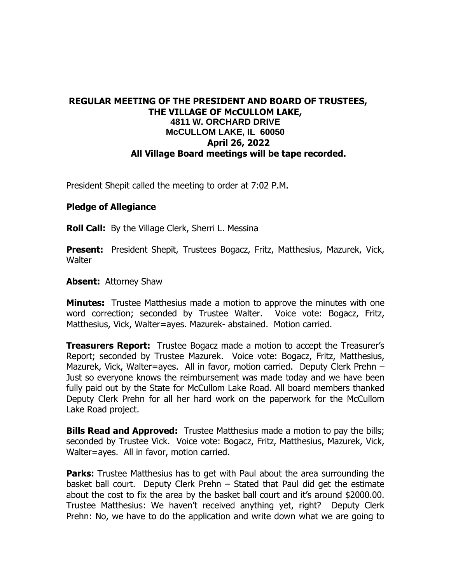## **REGULAR MEETING OF THE PRESIDENT AND BOARD OF TRUSTEES, THE VILLAGE OF McCULLOM LAKE, 4811 W. ORCHARD DRIVE McCULLOM LAKE, IL 60050 April 26, 2022 All Village Board meetings will be tape recorded.**

President Shepit called the meeting to order at 7:02 P.M.

## **Pledge of Allegiance**

**Roll Call:** By the Village Clerk, Sherri L. Messina

**Present:** President Shepit, Trustees Bogacz, Fritz, Matthesius, Mazurek, Vick, **Walter** 

**Absent:** Attorney Shaw

**Minutes:** Trustee Matthesius made a motion to approve the minutes with one word correction; seconded by Trustee Walter. Voice vote: Bogacz, Fritz, Matthesius, Vick, Walter=ayes. Mazurek- abstained. Motion carried.

**Treasurers Report:** Trustee Bogacz made a motion to accept the Treasurer's Report; seconded by Trustee Mazurek. Voice vote: Bogacz, Fritz, Matthesius, Mazurek, Vick, Walter=ayes. All in favor, motion carried. Deputy Clerk Prehn – Just so everyone knows the reimbursement was made today and we have been fully paid out by the State for McCullom Lake Road. All board members thanked Deputy Clerk Prehn for all her hard work on the paperwork for the McCullom Lake Road project.

**Bills Read and Approved:** Trustee Matthesius made a motion to pay the bills; seconded by Trustee Vick. Voice vote: Bogacz, Fritz, Matthesius, Mazurek, Vick, Walter=ayes. All in favor, motion carried.

**Parks:** Trustee Matthesius has to get with Paul about the area surrounding the basket ball court. Deputy Clerk Prehn – Stated that Paul did get the estimate about the cost to fix the area by the basket ball court and it's around \$2000.00. Trustee Matthesius: We haven't received anything yet, right? Deputy Clerk Prehn: No, we have to do the application and write down what we are going to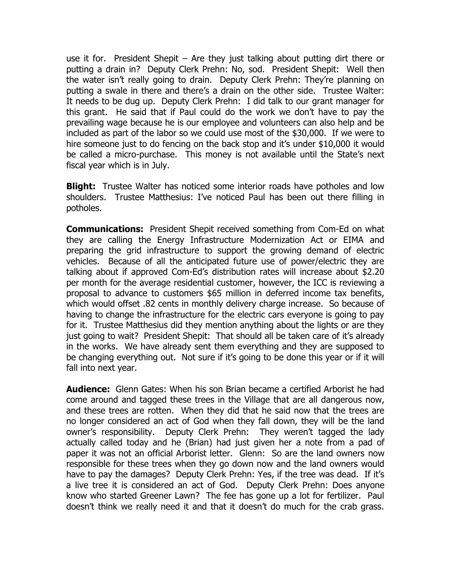use it for. President Shepit – Are they just talking about putting dirt there or putting a drain in? Deputy Clerk Prehn: No, sod. President Shepit: Well then the water isn't really going to drain. Deputy Clerk Prehn: They're planning on putting a swale in there and there's a drain on the other side. Trustee Walter: It needs to be dug up. Deputy Clerk Prehn: I did talk to our grant manager for this grant. He said that if Paul could do the work we don't have to pay the prevailing wage because he is our employee and volunteers can also help and be included as part of the labor so we could use most of the \$30,000. If we were to hire someone just to do fencing on the back stop and it's under \$10,000 it would be called a micro-purchase. This money is not available until the State's next fiscal year which is in July.

**Blight:** Trustee Walter has noticed some interior roads have potholes and low shoulders. Trustee Matthesius: I've noticed Paul has been out there filling in potholes.

**Communications:** President Shepit received something from Com-Ed on what they are calling the Energy Infrastructure Modernization Act or EIMA and preparing the grid infrastructure to support the growing demand of electric vehicles. Because of all the anticipated future use of power/electric they are talking about if approved Com-Ed's distribution rates will increase about \$2.20 per month for the average residential customer, however, the ICC is reviewing a proposal to advance to customers \$65 million in deferred income tax benefits, which would offset .82 cents in monthly delivery charge increase. So because of having to change the infrastructure for the electric cars everyone is going to pay for it. Trustee Matthesius did they mention anything about the lights or are they just going to wait? President Shepit: That should all be taken care of it's already in the works. We have already sent them everything and they are supposed to be changing everything out. Not sure if it's going to be done this year or if it will fall into next year.

**Audience:** Glenn Gates: When his son Brian became a certified Arborist he had come around and tagged these trees in the Village that are all dangerous now, and these trees are rotten. When they did that he said now that the trees are no longer considered an act of God when they fall down, they will be the land owner's responsibility. Deputy Clerk Prehn: They weren't tagged the lady actually called today and he (Brian) had just given her a note from a pad of paper it was not an official Arborist letter. Glenn: So are the land owners now responsible for these trees when they go down now and the land owners would have to pay the damages? Deputy Clerk Prehn: Yes, if the tree was dead. If it's a live tree it is considered an act of God. Deputy Clerk Prehn: Does anyone know who started Greener Lawn? The fee has gone up a lot for fertilizer. Paul doesn't think we really need it and that it doesn't do much for the crab grass.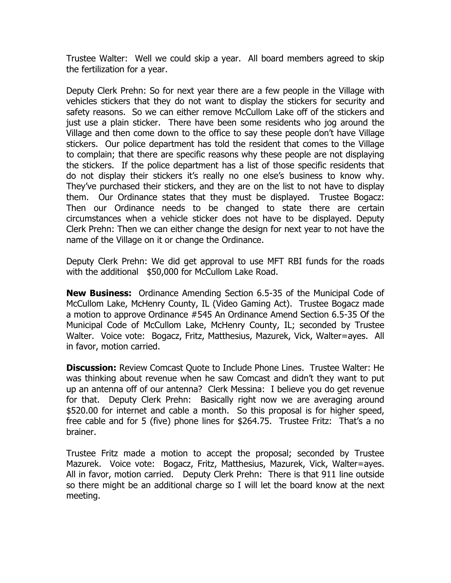Trustee Walter: Well we could skip a year. All board members agreed to skip the fertilization for a year.

Deputy Clerk Prehn: So for next year there are a few people in the Village with vehicles stickers that they do not want to display the stickers for security and safety reasons. So we can either remove McCullom Lake off of the stickers and just use a plain sticker. There have been some residents who jog around the Village and then come down to the office to say these people don't have Village stickers. Our police department has told the resident that comes to the Village to complain; that there are specific reasons why these people are not displaying the stickers. If the police department has a list of those specific residents that do not display their stickers it's really no one else's business to know why. They've purchased their stickers, and they are on the list to not have to display them. Our Ordinance states that they must be displayed. Trustee Bogacz: Then our Ordinance needs to be changed to state there are certain circumstances when a vehicle sticker does not have to be displayed. Deputy Clerk Prehn: Then we can either change the design for next year to not have the name of the Village on it or change the Ordinance.

Deputy Clerk Prehn: We did get approval to use MFT RBI funds for the roads with the additional \$50,000 for McCullom Lake Road.

**New Business:** Ordinance Amending Section 6.5-35 of the Municipal Code of McCullom Lake, McHenry County, IL (Video Gaming Act). Trustee Bogacz made a motion to approve Ordinance #545 An Ordinance Amend Section 6.5-35 Of the Municipal Code of McCullom Lake, McHenry County, IL; seconded by Trustee Walter. Voice vote: Bogacz, Fritz, Matthesius, Mazurek, Vick, Walter=ayes. All in favor, motion carried.

**Discussion:** Review Comcast Quote to Include Phone Lines. Trustee Walter: He was thinking about revenue when he saw Comcast and didn't they want to put up an antenna off of our antenna? Clerk Messina: I believe you do get revenue for that. Deputy Clerk Prehn: Basically right now we are averaging around \$520.00 for internet and cable a month. So this proposal is for higher speed, free cable and for 5 (five) phone lines for \$264.75. Trustee Fritz: That's a no brainer.

Trustee Fritz made a motion to accept the proposal; seconded by Trustee Mazurek. Voice vote: Bogacz, Fritz, Matthesius, Mazurek, Vick, Walter=ayes. All in favor, motion carried. Deputy Clerk Prehn: There is that 911 line outside so there might be an additional charge so I will let the board know at the next meeting.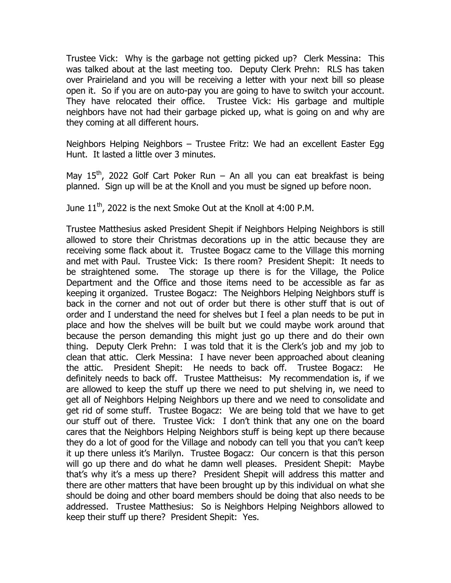Trustee Vick: Why is the garbage not getting picked up? Clerk Messina: This was talked about at the last meeting too. Deputy Clerk Prehn: RLS has taken over Prairieland and you will be receiving a letter with your next bill so please open it. So if you are on auto-pay you are going to have to switch your account. They have relocated their office. Trustee Vick: His garbage and multiple neighbors have not had their garbage picked up, what is going on and why are they coming at all different hours.

Neighbors Helping Neighbors – Trustee Fritz: We had an excellent Easter Egg Hunt. It lasted a little over 3 minutes.

May 15<sup>th</sup>, 2022 Golf Cart Poker Run – An all you can eat breakfast is being planned. Sign up will be at the Knoll and you must be signed up before noon.

June  $11^{\text{th}}$ , 2022 is the next Smoke Out at the Knoll at 4:00 P.M.

Trustee Matthesius asked President Shepit if Neighbors Helping Neighbors is still allowed to store their Christmas decorations up in the attic because they are receiving some flack about it. Trustee Bogacz came to the Village this morning and met with Paul. Trustee Vick: Is there room? President Shepit: It needs to be straightened some. The storage up there is for the Village, the Police Department and the Office and those items need to be accessible as far as keeping it organized. Trustee Bogacz: The Neighbors Helping Neighbors stuff is back in the corner and not out of order but there is other stuff that is out of order and I understand the need for shelves but I feel a plan needs to be put in place and how the shelves will be built but we could maybe work around that because the person demanding this might just go up there and do their own thing. Deputy Clerk Prehn: I was told that it is the Clerk's job and my job to clean that attic. Clerk Messina: I have never been approached about cleaning the attic. President Shepit: He needs to back off. Trustee Bogacz: He definitely needs to back off. Trustee Mattheisus: My recommendation is, if we are allowed to keep the stuff up there we need to put shelving in, we need to get all of Neighbors Helping Neighbors up there and we need to consolidate and get rid of some stuff. Trustee Bogacz: We are being told that we have to get our stuff out of there. Trustee Vick: I don't think that any one on the board cares that the Neighbors Helping Neighbors stuff is being kept up there because they do a lot of good for the Village and nobody can tell you that you can't keep it up there unless it's Marilyn. Trustee Bogacz: Our concern is that this person will go up there and do what he damn well pleases. President Shepit: Maybe that's why it's a mess up there? President Shepit will address this matter and there are other matters that have been brought up by this individual on what she should be doing and other board members should be doing that also needs to be addressed. Trustee Matthesius: So is Neighbors Helping Neighbors allowed to keep their stuff up there? President Shepit: Yes.